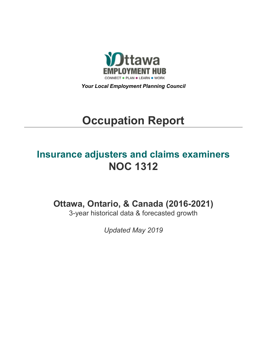

*Your Local Employment Planning Council*

# **Occupation Report**

## **Insurance adjusters and claims examiners NOC 1312**

**Ottawa, Ontario, & Canada (2016-2021)**

3-year historical data & forecasted growth

*Updated May 2019*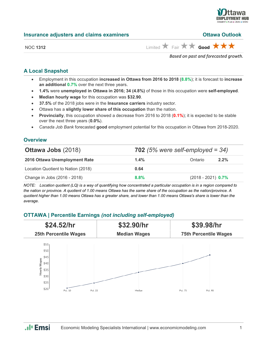

#### **Insurance adjusters and claims examiners CEL 2008 Ottawa Outlook**

NOC 1312 **Limited** Fair **x Good**  $\star$  **s** 

*Based on past and forecasted growth.*

## **A Local Snapshot**

- Employment in this occupation **increased in Ottawa from 2016 to 2018** (**8.8%**); it is forecast to **increase an additional 0.7%** over the next three years.
- **1.4%** were **unemployed in Ottawa in 2016; 34 (4.8%)** of those in this occupation were **self-employed**.
- **Median hourly wage** for this occupation was **\$32.90**.
- **37.5%** of the 2018 jobs were in the **Insurance carriers** industry sector.
- Ottawa has a **slightly lower share of this occupation** than the nation.
- **Provincially**, this occupation showed a decrease from 2016 to 2018 (**0.1%**); it is expected to be stable over the next three years (**0.0%**).
- *Canada Job Bank* forecasted **good** employment potential for this occupation in Ottawa from 2018-2020.

## **Overview**

| <b>Ottawa Jobs (2018)</b>          |         | 702 (5% were self-employed = $34$ ) |
|------------------------------------|---------|-------------------------------------|
| 2016 Ottawa Unemployment Rate      | $1.4\%$ | 2.2%<br>Ontario                     |
| Location Quotient to Nation (2018) | 0.64    |                                     |
| Change in Jobs (2016 - 2018)       | $8.8\%$ | $(2018 - 2021)$ 0.7%                |

*NOTE: Location quotient (LQ) is a way of quantifying how concentrated a particular occupation is in a region compared to the nation or province. A quotient of 1.00 means Ottawa has the same share of the occupation as the nation/province. A quotient higher than 1.00 means Ottawa has a greater share, and lower than 1.00 means Ottawa's share is lower than the average.*

## **OTTAWA | Percentile Earnings** *(not including self-employed)*



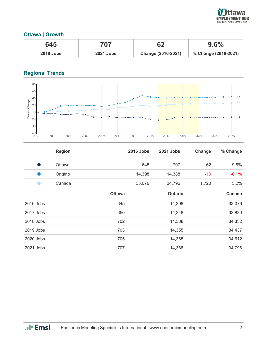

## **Ottawa | Growth**

| 645              | 707              | רה                        | 9.6%                 |
|------------------|------------------|---------------------------|----------------------|
| <b>2016 Jobs</b> | <b>2021 Jobs</b> | <b>Change (2016-2021)</b> | % Change (2016-2021) |

## **Regional Trends**



|                                                                                                                                                                                                                                | <b>Region</b> |               | <b>2016 Jobs</b> | 2021 Jobs      | Change | % Change |
|--------------------------------------------------------------------------------------------------------------------------------------------------------------------------------------------------------------------------------|---------------|---------------|------------------|----------------|--------|----------|
| o and the contract of the contract of the contract of the contract of the contract of the contract of the contract of the contract of the contract of the contract of the contract of the contract of the contract of the cont | Ottawa        |               | 645              | 707            | 62     | 9.6%     |
| œ                                                                                                                                                                                                                              | Ontario       |               | 14,398           | 14,388         | $-10$  | $-0.1%$  |
|                                                                                                                                                                                                                                | Canada        |               | 33,076           | 34,796         | 1,720  | 5.2%     |
|                                                                                                                                                                                                                                |               | <b>Ottawa</b> |                  | <b>Ontario</b> |        | Canada   |
| 2016 Jobs                                                                                                                                                                                                                      |               | 645           |                  | 14,398         |        | 33,076   |
| 2017 Jobs                                                                                                                                                                                                                      |               | 650           |                  | 14,248         |        | 33,830   |
| 2018 Jobs                                                                                                                                                                                                                      |               | 702           |                  | 14,388         |        | 34,332   |
| 2019 Jobs                                                                                                                                                                                                                      |               | 703           |                  | 14,355         |        | 34,437   |
| 2020 Jobs                                                                                                                                                                                                                      |               | 705           |                  | 14,365         |        | 34,612   |
| 2021 Jobs                                                                                                                                                                                                                      |               | 707           |                  | 14,388         |        | 34,796   |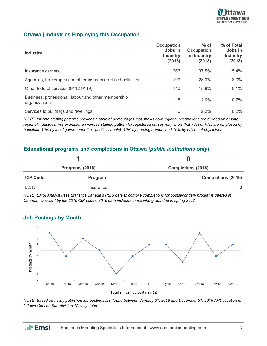

## **Ottawa | Industries Employing this Occupation**

| <b>Industry</b>                                                      | Occupation<br>Jobs in<br><b>Industry</b><br>(2018) | $%$ of<br><b>Occupation</b><br>in Industry<br>(2018) | % of Total<br>Jobs in<br><b>Industry</b><br>(2018) |
|----------------------------------------------------------------------|----------------------------------------------------|------------------------------------------------------|----------------------------------------------------|
| Insurance carriers                                                   | 263                                                | 37.5%                                                | 15.4%                                              |
| Agencies, brokerages and other insurance related activities          | 199                                                | 28.3%                                                | $8.0\%$                                            |
| Other federal services (9112-9119)                                   | 110                                                | 15.6%                                                | 0.1%                                               |
| Business, professional, labour and other membership<br>organizations | 18                                                 | 2.6%                                                 | $0.2\%$                                            |
| Services to buildings and dwellings                                  | 16                                                 | $2.2\%$                                              | $0.2\%$                                            |

*NOTE: Inverse staffing patterns provides a table of percentages that shows how regional occupations are divided up among regional industries. For example, an inverse staffing pattern for registered nurses may show that 70% of RNs are employed by hospitals, 10% by local government (i.e., public schools), 10% by nursing homes, and 10% by offices of physicians.*

## **Educational programs and completions in Ottawa** *(public institutions only***)**

|                 | Programs (2016) | <b>Completions (2016)</b> |
|-----------------|-----------------|---------------------------|
| <b>CIP Code</b> | Program         | <b>Completions (2016)</b> |
| 52.17           | Insurance       | $\Omega$                  |

*NOTE: EMSI Analyst uses Statistics Canada's PSIS data to compile completions for postsecondary programs offered in Canada, classified by the 2016 CIP codes. 2016 data includes those who graduated in spring 2017.*



## **Job Postings by Month**

*NOTE: Based on newly published job postings first found between January 01, 2018 and December 31, 2018 AND location is Ottawa Census Sub-division, Vicinity Jobs.*